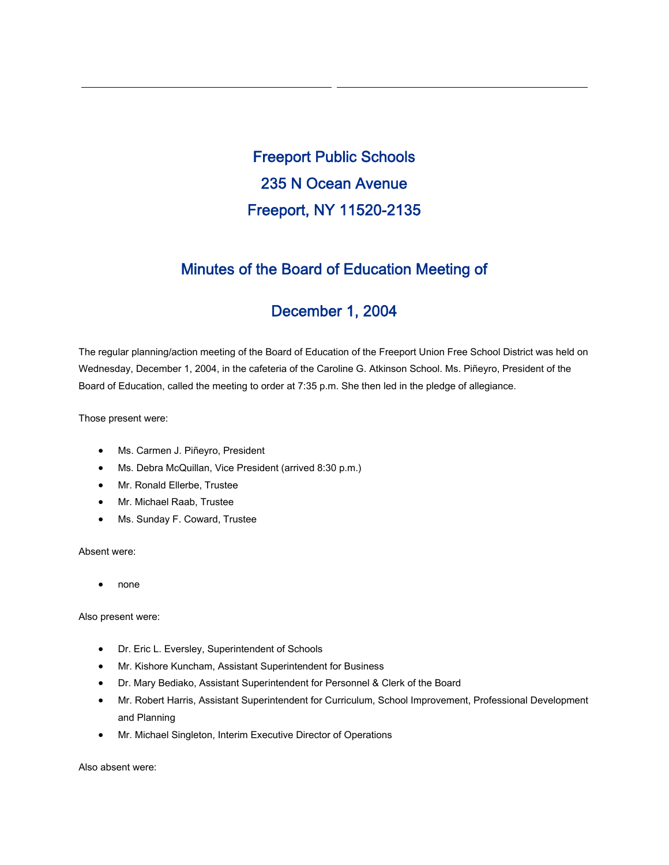Freeport Public Schools 235 N Ocean Avenue Freeport, NY 11520-2135

# Minutes of the Board of Education Meeting of

# December 1, 2004

The regular planning/action meeting of the Board of Education of the Freeport Union Free School District was held on Wednesday, December 1, 2004, in the cafeteria of the Caroline G. Atkinson School. Ms. Piñeyro, President of the Board of Education, called the meeting to order at 7:35 p.m. She then led in the pledge of allegiance.

Those present were:

- Ms. Carmen J. Piñeyro, President
- Ms. Debra McQuillan, Vice President (arrived 8:30 p.m.)
- Mr. Ronald Ellerbe, Trustee
- Mr. Michael Raab, Trustee
- Ms. Sunday F. Coward, Trustee

Absent were:

• none

Also present were:

- Dr. Eric L. Eversley, Superintendent of Schools
- Mr. Kishore Kuncham, Assistant Superintendent for Business
- Dr. Mary Bediako, Assistant Superintendent for Personnel & Clerk of the Board
- Mr. Robert Harris, Assistant Superintendent for Curriculum, School Improvement, Professional Development and Planning
- Mr. Michael Singleton, Interim Executive Director of Operations

Also absent were: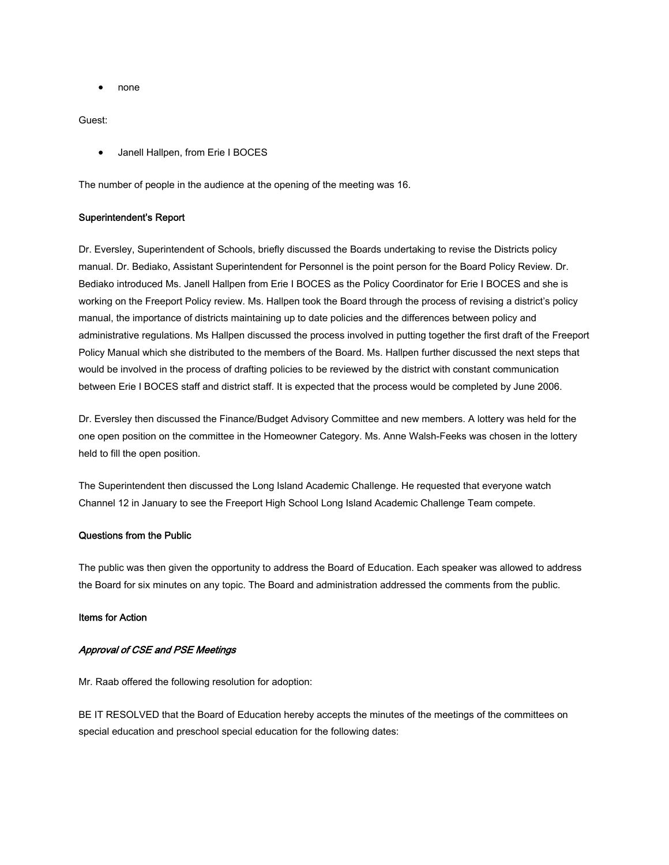• none

Guest:

• Janell Hallpen, from Erie I BOCES

The number of people in the audience at the opening of the meeting was 16.

### Superintendent's Report

Dr. Eversley, Superintendent of Schools, briefly discussed the Boards undertaking to revise the Districts policy manual. Dr. Bediako, Assistant Superintendent for Personnel is the point person for the Board Policy Review. Dr. Bediako introduced Ms. Janell Hallpen from Erie I BOCES as the Policy Coordinator for Erie I BOCES and she is working on the Freeport Policy review. Ms. Hallpen took the Board through the process of revising a district's policy manual, the importance of districts maintaining up to date policies and the differences between policy and administrative regulations. Ms Hallpen discussed the process involved in putting together the first draft of the Freeport Policy Manual which she distributed to the members of the Board. Ms. Hallpen further discussed the next steps that would be involved in the process of drafting policies to be reviewed by the district with constant communication between Erie I BOCES staff and district staff. It is expected that the process would be completed by June 2006.

Dr. Eversley then discussed the Finance/Budget Advisory Committee and new members. A lottery was held for the one open position on the committee in the Homeowner Category. Ms. Anne Walsh-Feeks was chosen in the lottery held to fill the open position.

The Superintendent then discussed the Long Island Academic Challenge. He requested that everyone watch Channel 12 in January to see the Freeport High School Long Island Academic Challenge Team compete.

### Questions from the Public

The public was then given the opportunity to address the Board of Education. Each speaker was allowed to address the Board for six minutes on any topic. The Board and administration addressed the comments from the public.

#### Items for Action

### Approval of CSE and PSE Meetings

Mr. Raab offered the following resolution for adoption:

BE IT RESOLVED that the Board of Education hereby accepts the minutes of the meetings of the committees on special education and preschool special education for the following dates: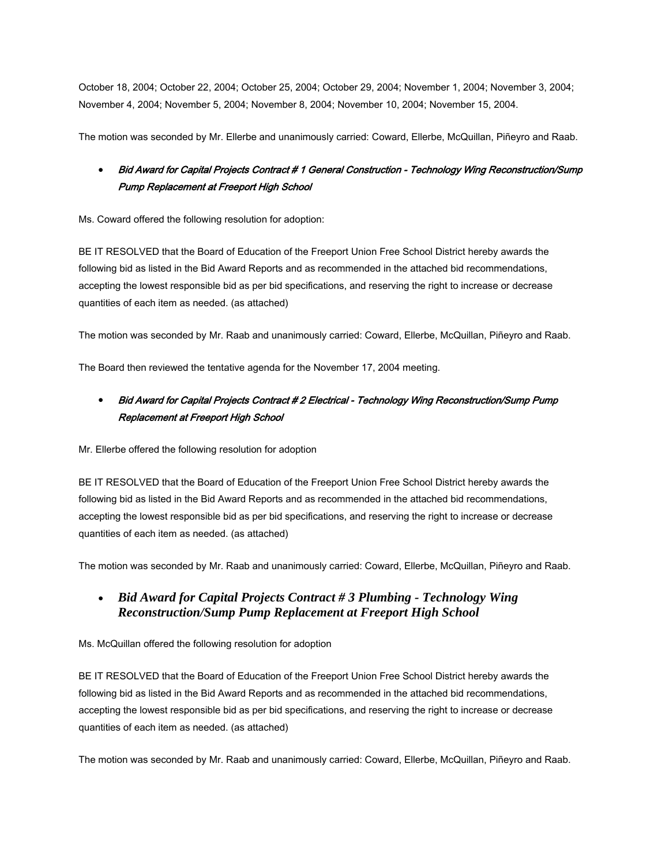October 18, 2004; October 22, 2004; October 25, 2004; October 29, 2004; November 1, 2004; November 3, 2004; November 4, 2004; November 5, 2004; November 8, 2004; November 10, 2004; November 15, 2004.

The motion was seconded by Mr. Ellerbe and unanimously carried: Coward, Ellerbe, McQuillan, Piñeyro and Raab.

## • Bid Award for Capital Projects Contract # 1 General Construction - Technology Wing Reconstruction/Sump Pump Replacement at Freeport High School

Ms. Coward offered the following resolution for adoption:

BE IT RESOLVED that the Board of Education of the Freeport Union Free School District hereby awards the following bid as listed in the Bid Award Reports and as recommended in the attached bid recommendations, accepting the lowest responsible bid as per bid specifications, and reserving the right to increase or decrease quantities of each item as needed. (as attached)

The motion was seconded by Mr. Raab and unanimously carried: Coward, Ellerbe, McQuillan, Piñeyro and Raab.

The Board then reviewed the tentative agenda for the November 17, 2004 meeting.

# • Bid Award for Capital Projects Contract # 2 Electrical - Technology Wing Reconstruction/Sump Pump Replacement at Freeport High School

Mr. Ellerbe offered the following resolution for adoption

BE IT RESOLVED that the Board of Education of the Freeport Union Free School District hereby awards the following bid as listed in the Bid Award Reports and as recommended in the attached bid recommendations, accepting the lowest responsible bid as per bid specifications, and reserving the right to increase or decrease quantities of each item as needed. (as attached)

The motion was seconded by Mr. Raab and unanimously carried: Coward, Ellerbe, McQuillan, Piñeyro and Raab.

## • *Bid Award for Capital Projects Contract # 3 Plumbing - Technology Wing Reconstruction/Sump Pump Replacement at Freeport High School*

Ms. McQuillan offered the following resolution for adoption

BE IT RESOLVED that the Board of Education of the Freeport Union Free School District hereby awards the following bid as listed in the Bid Award Reports and as recommended in the attached bid recommendations, accepting the lowest responsible bid as per bid specifications, and reserving the right to increase or decrease quantities of each item as needed. (as attached)

The motion was seconded by Mr. Raab and unanimously carried: Coward, Ellerbe, McQuillan, Piñeyro and Raab.